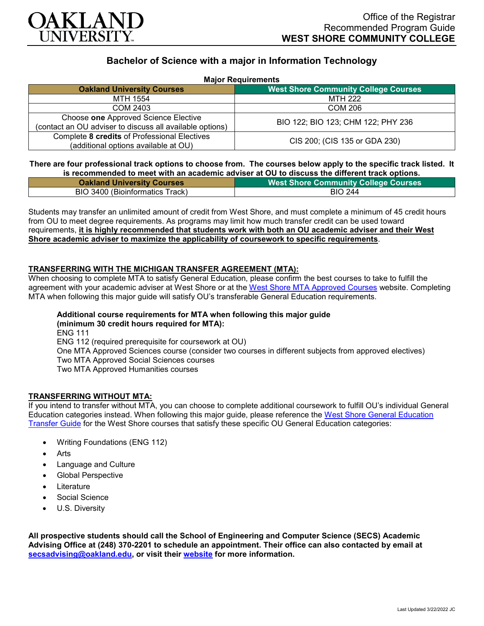

# **Bachelor of Science with a major in Information Technology**

| <b>Major Requirements</b> |
|---------------------------|
|---------------------------|

| <b>MADI READING THE READ</b>                                                                     |                                             |
|--------------------------------------------------------------------------------------------------|---------------------------------------------|
| <b>Oakland University Courses</b>                                                                | <b>West Shore Community College Courses</b> |
| MTH 1554                                                                                         | MTH 222                                     |
| COM 2403                                                                                         | COM 206                                     |
| Choose one Approved Science Elective<br>(contact an OU adviser to discuss all available options) | BIO 122; BIO 123; CHM 122; PHY 236          |
| Complete 8 credits of Professional Electives<br>(additional options available at OU)             | CIS 200; (CIS 135 or GDA 230)               |

### **There are four professional track options to choose from. The courses below apply to the specific track listed. It is recommended to meet with an academic adviser at OU to discuss the different track options.**

| <b>Oakland University Courses</b> | <b>West Shore Community College Courses</b> |
|-----------------------------------|---------------------------------------------|
| BIO 3400 (Bioinformatics Track)   | <b>BIO 244</b>                              |

Students may transfer an unlimited amount of credit from West Shore, and must complete a minimum of 45 credit hours from OU to meet degree requirements. As programs may limit how much transfer credit can be used toward requirements, **it is highly recommended that students work with both an OU academic adviser and their West Shore academic adviser to maximize the applicability of coursework to specific requirements**.

### **TRANSFERRING WITH THE MICHIGAN TRANSFER AGREEMENT (MTA):**

When choosing to complete MTA to satisfy General Education, please confirm the best courses to take to fulfill the agreement with your academic adviser at West Shore or at the [West Shore MTA Approved Courses](https://www.westshore.edu/admissions/transfer-students/) website. Completing MTA when following this major guide will satisfy OU's transferable General Education requirements.

#### **Additional course requirements for MTA when following this major guide (minimum 30 credit hours required for MTA):**

ENG 111 ENG 112 (required prerequisite for coursework at OU) One MTA Approved Sciences course (consider two courses in different subjects from approved electives) Two MTA Approved Social Sciences courses Two MTA Approved Humanities courses

## **TRANSFERRING WITHOUT MTA:**

If you intend to transfer without MTA, you can choose to complete additional coursework to fulfill OU's individual General Education categories instead. When following this major guide, please reference the [West Shore General Education](https://www.oakland.edu/Assets/Oakland/program-guides/west-shore-community-college/university-general-education-requirements/West%20Shore%20Gen%20Ed.pdf)  [Transfer Guide](https://www.oakland.edu/Assets/Oakland/program-guides/west-shore-community-college/university-general-education-requirements/West%20Shore%20Gen%20Ed.pdf) for the West Shore courses that satisfy these specific OU General Education categories:

- Writing Foundations (ENG 112)
- Arts
- Language and Culture
- Global Perspective
- **Literature**
- Social Science
- U.S. Diversity

**All prospective students should call the School of Engineering and Computer Science (SECS) Academic Advising Office at (248) 370-2201 to schedule an appointment. Their office can also contacted by email at [secsadvising@oakland.edu,](mailto:secsadvising@oakland.edu) or visit their [website](https://wwwp.oakland.edu/secs/advising/) for more information.**